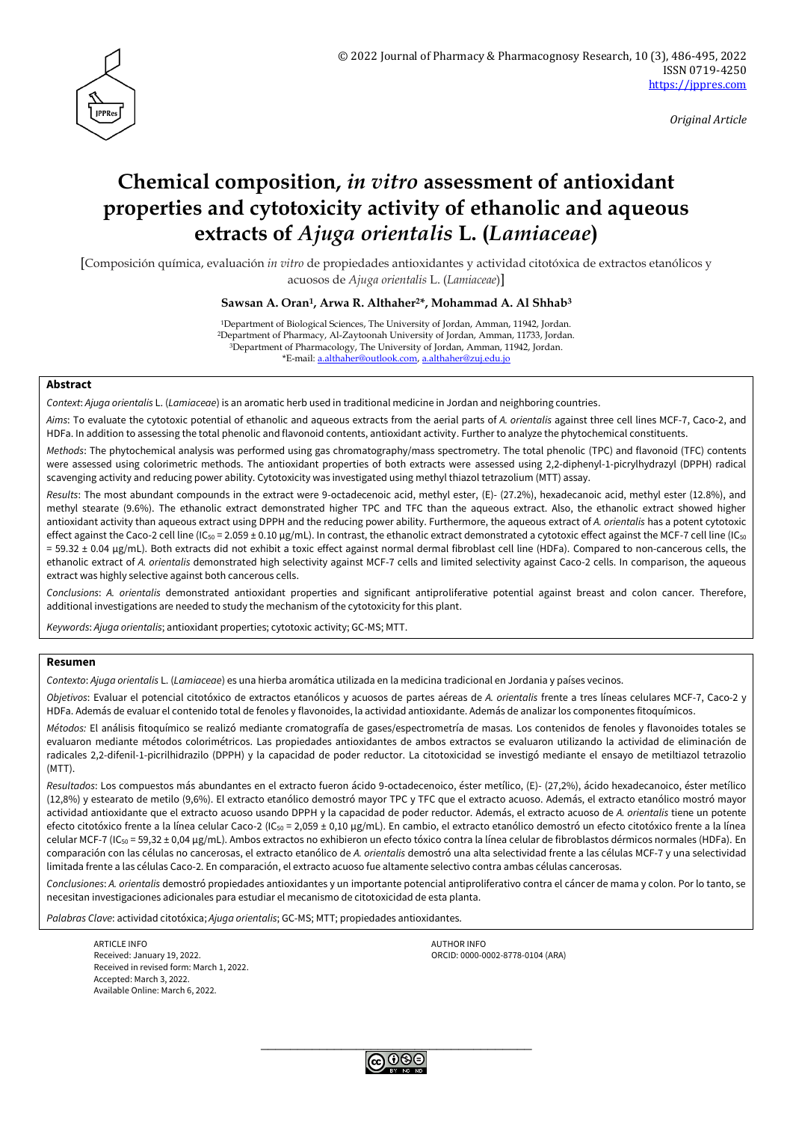

*Original Article*

# **Chemical composition,** *in vitro* **assessment of antioxidant properties and cytotoxicity activity of ethanolic and aqueous extracts of** *Ajuga orientalis* **L. (***Lamiaceae***)**

[Composición química, evaluación *in vitro* de propiedades antioxidantes y actividad citotóxica de extractos etanólicos y acuosos de *Ajuga orientalis* L. (*Lamiaceae*)]

## **Sawsan A. Oran1, Arwa R. Althaher2\*, Mohammad A. Al Shhab<sup>3</sup>**

Department of Biological Sciences, The University of Jordan, Amman, 11942, Jordan. Department of Pharmacy, Al-Zaytoonah University of Jordan, Amman, 11733, Jordan. Department of Pharmacology, The University of Jordan, Amman, 11942, Jordan. \*E-mail: [a.althaher@outlook.com,](mailto:a.althaher@outlook.com) [a.althaher@zuj.edu.jo](mailto:a.althaher@zuj.edu.jo)

## **Abstract**

*Context*: *Ajuga orientalis* L. (*Lamiaceae*) is an aromatic herb used in traditional medicine in Jordan and neighboring countries.

*Aims*: To evaluate the cytotoxic potential of ethanolic and aqueous extracts from the aerial parts of *A. orientalis* against three cell lines MCF-7, Caco-2, and HDFa. In addition to assessing the total phenolic and flavonoid contents, antioxidant activity. Further to analyze the phytochemical constituents.

*Methods*: The phytochemical analysis was performed using gas chromatography/mass spectrometry. The total phenolic (TPC) and flavonoid (TFC) contents were assessed using colorimetric methods. The antioxidant properties of both extracts were assessed using 2,2-diphenyl-1-picrylhydrazyl (DPPH) radical scavenging activity and reducing power ability. Cytotoxicity was investigated using methyl thiazol tetrazolium (MTT) assay.

*Results*: The most abundant compounds in the extract were 9-octadecenoic acid, methyl ester, (E)- (27.2%), hexadecanoic acid, methyl ester (12.8%), and methyl stearate (9.6%). The ethanolic extract demonstrated higher TPC and TFC than the aqueous extract. Also, the ethanolic extract showed higher antioxidant activity than aqueous extract using DPPH and the reducing power ability. Furthermore, the aqueous extract of *A. orientalis* has a potent cytotoxic effect against the Caco-2 cell line (IC<sub>50</sub> = 2.059 ± 0.10 µg/mL). In contrast, the ethanolic extract demonstrated a cytotoxic effect against the MCF-7 cell line (IC<sub>50</sub> = 59.32 ± 0.04 μg/mL). Both extracts did not exhibit a toxic effect against normal dermal fibroblast cell line (HDFa). Compared to non-cancerous cells, the ethanolic extract of *A. orientalis* demonstrated high selectivity against MCF-7 cells and limited selectivity against Caco-2 cells. In comparison, the aqueous extract was highly selective against both cancerous cells.

*Conclusions*: *A. orientalis* demonstrated antioxidant properties and significant antiproliferative potential against breast and colon cancer. Therefore, additional investigations are needed to study the mechanism of the cytotoxicity for this plant.

*Keywords*: *Ajuga orientalis*; antioxidant properties; cytotoxic activity; GC-MS; MTT.

## **Resumen**

*Contexto*: *Ajuga orientalis* L. (*Lamiaceae*) es una hierba aromática utilizada en la medicina tradicional en Jordania y países vecinos.

*Objetivos*: Evaluar el potencial citotóxico de extractos etanólicos y acuosos de partes aéreas de *A. orientalis* frente a tres líneas celulares MCF-7, Caco-2 y HDFa. Además de evaluar el contenido total de fenoles y flavonoides, la actividad antioxidante. Además de analizar los componentes fitoquímicos.

*Métodos:* El análisis fitoquímico se realizó mediante cromatografía de gases/espectrometría de masas. Los contenidos de fenoles y flavonoides totales se evaluaron mediante métodos colorimétricos. Las propiedades antioxidantes de ambos extractos se evaluaron utilizando la actividad de eliminación de radicales 2,2-difenil-1-picrilhidrazilo (DPPH) y la capacidad de poder reductor. La citotoxicidad se investigó mediante el ensayo de metiltiazol tetrazolio (MTT).

*Resultados*: Los compuestos más abundantes en el extracto fueron ácido 9-octadecenoico, éster metílico, (E)- (27,2%), ácido hexadecanoico, éster metílico (12,8%) y estearato de metilo (9,6%). El extracto etanólico demostró mayor TPC y TFC que el extracto acuoso. Además, el extracto etanólico mostró mayor actividad antioxidante que el extracto acuoso usando DPPH y la capacidad de poder reductor. Además, el extracto acuoso de *A. orientalis* tiene un potente efecto citotóxico frente a la línea celular Caco-2 (IC<sub>50</sub> = 2,059 ± 0,10 μg/mL). En cambio, el extracto etanólico demostró un efecto citotóxico frente a la línea celular MCF-7 (IC<sub>50</sub> = 59,32 ± 0,04 μg/mL). Ambos extractos no exhibieron un efecto tóxico contra la línea celular de fibroblastos dérmicos normales (HDFa). En comparación con las células no cancerosas, el extracto etanólico de *A. orientalis* demostró una alta selectividad frente a las células MCF-7 y una selectividad limitada frente a las células Caco-2. En comparación, el extracto acuoso fue altamente selectivo contra ambas células cancerosas.

*Conclusiones*: *A. orientalis* demostró propiedades antioxidantes y un importante potencial antiproliferativo contra el cáncer de mama y colon. Por lo tanto, se necesitan investigaciones adicionales para estudiar el mecanismo de citotoxicidad de esta planta.

*Palabras Clave*: actividad citotóxica; *Ajuga orientalis*; GC-MS; MTT; propiedades antioxidantes.

ARTICLE INFO AUTHOR INFO AUTHOR INFO AUTHOR INFO AUTHOR INFO Received: January 19, 2022. ORCID: 0000-0002-8778-0104 (ARA) Received in revised form: March 1, 2022. Accepted: March 3, 2022. Available Online: March 6, 2022.

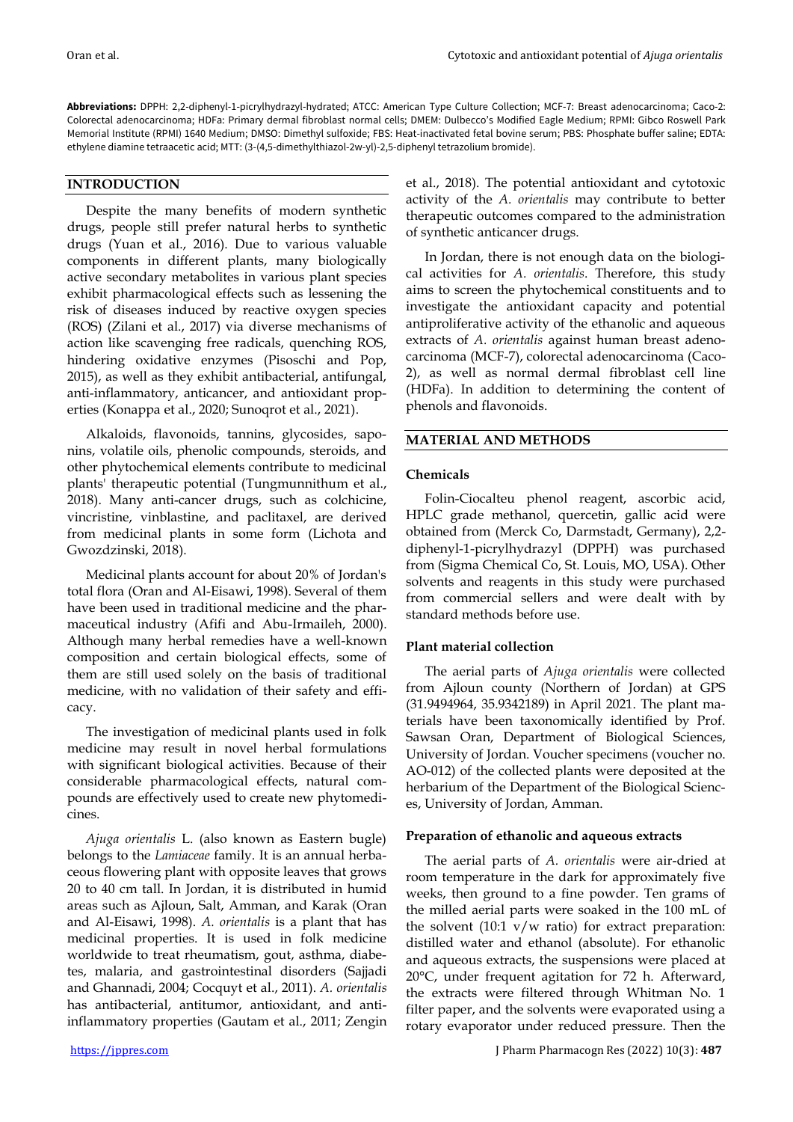**Abbreviations:** DPPH: 2,2-diphenyl-1-picrylhydrazyl-hydrated; ATCC: American Type Culture Collection; MCF-7: Breast adenocarcinoma; Caco-2: Colorectal adenocarcinoma; HDFa: Primary dermal fibroblast normal cells; DMEM: Dulbecco's Modified Eagle Medium; RPMI: Gibco Roswell Park Memorial Institute (RPMI) 1640 Medium; DMSO: Dimethyl sulfoxide; FBS: Heat-inactivated fetal bovine serum; PBS: Phosphate buffer saline; EDTA: ethylene diamine tetraacetic acid; MTT: (3-(4,5-dimethylthiazol-2w-yl)-2,5-diphenyl tetrazolium bromide).

# **INTRODUCTION**

Despite the many benefits of modern synthetic drugs, people still prefer natural herbs to synthetic drugs (Yuan et al., 2016). Due to various valuable components in different plants, many biologically active secondary metabolites in various plant species exhibit pharmacological effects such as lessening the risk of diseases induced by reactive oxygen species (ROS) (Zilani et al., 2017) via diverse mechanisms of action like scavenging free radicals, quenching ROS, hindering oxidative enzymes (Pisoschi and Pop, 2015), as well as they exhibit antibacterial, antifungal, anti-inflammatory, anticancer, and antioxidant properties (Konappa et al., 2020; Sunoqrot et al., 2021).

Alkaloids, flavonoids, tannins, glycosides, saponins, volatile oils, phenolic compounds, steroids, and other phytochemical elements contribute to medicinal plants' therapeutic potential (Tungmunnithum et al., 2018). Many anti-cancer drugs, such as colchicine, vincristine, vinblastine, and paclitaxel, are derived from medicinal plants in some form (Lichota and Gwozdzinski, 2018).

Medicinal plants account for about 20% of Jordan's total flora (Oran and Al-Eisawi, 1998). Several of them have been used in traditional medicine and the pharmaceutical industry (Afifi and Abu-Irmaileh, 2000). Although many herbal remedies have a well-known composition and certain biological effects, some of them are still used solely on the basis of traditional medicine, with no validation of their safety and efficacy.

The investigation of medicinal plants used in folk medicine may result in novel herbal formulations with significant biological activities. Because of their considerable pharmacological effects, natural compounds are effectively used to create new phytomedicines.

*Ajuga orientalis* L. (also known as Eastern bugle) belongs to the *Lamiaceae* family. It is an annual herbaceous flowering plant with opposite leaves that grows 20 to 40 cm tall. In Jordan, it is distributed in humid areas such as Ajloun, Salt, Amman, and Karak (Oran and Al-Eisawi, 1998). *A. orientalis* is a plant that has medicinal properties. It is used in folk medicine worldwide to treat rheumatism, gout, asthma, diabetes, malaria, and gastrointestinal disorders (Sajjadi and Ghannadi, 2004; Cocquyt et al., 2011). *A. orientalis* has antibacterial, antitumor, antioxidant, and antiinflammatory properties (Gautam et al., 2011; Zengin et al., 2018). The potential antioxidant and cytotoxic activity of the *A. orientalis* may contribute to better therapeutic outcomes compared to the administration of synthetic anticancer drugs.

In Jordan, there is not enough data on the biological activities for *A. orientalis*. Therefore, this study aims to screen the phytochemical constituents and to investigate the antioxidant capacity and potential antiproliferative activity of the ethanolic and aqueous extracts of *A. orientalis* against human breast adenocarcinoma (MCF-7), colorectal adenocarcinoma (Caco-2), as well as normal dermal fibroblast cell line (HDFa). In addition to determining the content of phenols and flavonoids.

# **MATERIAL AND METHODS**

# **Chemicals**

Folin-Ciocalteu phenol reagent, ascorbic acid, HPLC grade methanol, quercetin, gallic acid were obtained from (Merck Co, Darmstadt, Germany), 2,2 diphenyl-1-picrylhydrazyl (DPPH) was purchased from (Sigma Chemical Co, St. Louis, MO, USA). Other solvents and reagents in this study were purchased from commercial sellers and were dealt with by standard methods before use.

# **Plant material collection**

The aerial parts of *Ajuga orientalis* were collected from Ajloun county (Northern of Jordan) at GPS (31.9494964, 35.9342189) in April 2021. The plant materials have been taxonomically identified by Prof. Sawsan Oran, Department of Biological Sciences, University of Jordan. Voucher specimens (voucher no. AO-012) of the collected plants were deposited at the herbarium of the Department of the Biological Sciences, University of Jordan, Amman.

# **Preparation of ethanolic and aqueous extracts**

The aerial parts of *A. orientalis* were air-dried at room temperature in the dark for approximately five weeks, then ground to a fine powder. Ten grams of the milled aerial parts were soaked in the 100 mL of the solvent  $(10:1 \text{ y/w ratio})$  for extract preparation: distilled water and ethanol (absolute). For ethanolic and aqueous extracts, the suspensions were placed at 20°C, under frequent agitation for 72 h. Afterward, the extracts were filtered through Whitman No. 1 filter paper, and the solvents were evaporated using a rotary evaporator under reduced pressure. Then the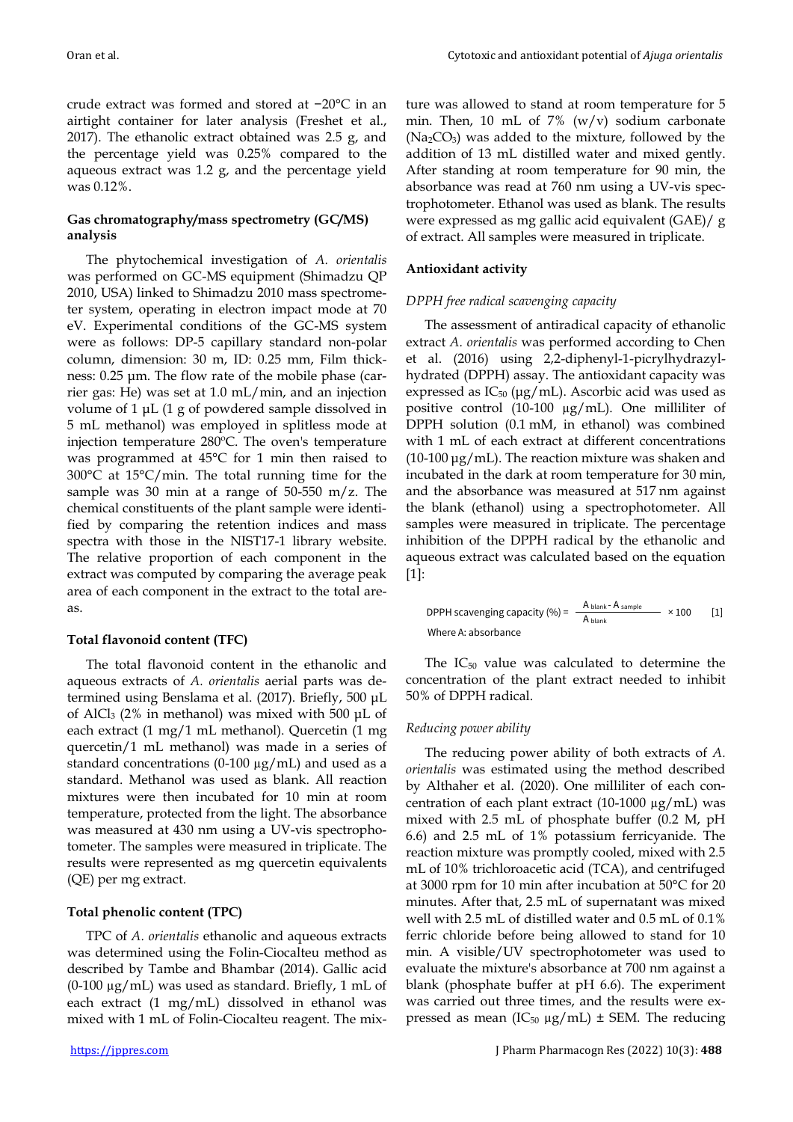crude extract was formed and stored at −20°C in an airtight container for later analysis (Freshet et al., 2017). The ethanolic extract obtained was 2.5 g, and the percentage yield was 0.25% compared to the aqueous extract was 1.2 g, and the percentage yield was 0.12%.

## **Gas chromatography/mass spectrometry (GC/MS) analysis**

The phytochemical investigation of *A. orientalis* was performed on GC-MS equipment (Shimadzu QP 2010, USA) linked to Shimadzu 2010 mass spectrometer system, operating in electron impact mode at 70 eV. Experimental conditions of the GC-MS system were as follows: DP-5 capillary standard non-polar column, dimension: 30 m, ID: 0.25 mm, Film thickness: 0.25 μm. The flow rate of the mobile phase (carrier gas: He) was set at 1.0 mL/min, and an injection volume of 1 μL (1 g of powdered sample dissolved in 5 mL methanol) was employed in splitless mode at injection temperature 280ºC. The oven's temperature was programmed at 45°C for 1 min then raised to 300°C at 15°C/min. The total running time for the sample was 30 min at a range of  $50-550$  m/z. The chemical constituents of the plant sample were identified by comparing the retention indices and mass spectra with those in the NIST17-1 library website. The relative proportion of each component in the extract was computed by comparing the average peak area of each component in the extract to the total areas.

# **Total flavonoid content (TFC)**

The total flavonoid content in the ethanolic and aqueous extracts of *A. orientalis* aerial parts was determined using Benslama et al. (2017). Briefly, 500 μL of AlCl<sup>3</sup> (2% in methanol) was mixed with 500 μL of each extract (1 mg/1 mL methanol). Quercetin (1 mg quercetin/1 mL methanol) was made in a series of standard concentrations (0-100 µg/mL) and used as a standard. Methanol was used as blank. All reaction mixtures were then incubated for 10 min at room temperature, protected from the light. The absorbance was measured at 430 nm using a UV-vis spectrophotometer. The samples were measured in triplicate. The results were represented as mg quercetin equivalents (QE) per mg extract.

# **Total phenolic content (TPC)**

TPC of *A. orientalis* ethanolic and aqueous extracts was determined using the Folin-Ciocalteu method as described by Tambe and Bhambar (2014). Gallic acid  $(0-100 \mu g/mL)$  was used as standard. Briefly, 1 mL of each extract (1 mg/mL) dissolved in ethanol was mixed with 1 mL of Folin-Ciocalteu reagent. The mix-

ture was allowed to stand at room temperature for 5 min. Then, 10 mL of 7%  $(w/v)$  sodium carbonate  $(Na<sub>2</sub>CO<sub>3</sub>)$  was added to the mixture, followed by the addition of 13 mL distilled water and mixed gently. After standing at room temperature for 90 min, the absorbance was read at 760 nm using a UV-vis spectrophotometer. Ethanol was used as blank. The results were expressed as mg gallic acid equivalent (GAE)/ g of extract. All samples were measured in triplicate.

## **Antioxidant activity**

## *DPPH free radical scavenging capacity*

The assessment of antiradical capacity of ethanolic extract *A. orientalis* was performed according to Chen et al. (2016) using 2,2-diphenyl-1-picrylhydrazylhydrated (DPPH) assay. The antioxidant capacity was expressed as  $IC_{50}$  ( $\mu$ g/mL). Ascorbic acid was used as positive control (10-100 µg/mL). One milliliter of DPPH solution (0.1 mM, in ethanol) was combined with 1 mL of each extract at different concentrations (10-100 μg/mL). The reaction mixture was shaken and incubated in the dark at room temperature for 30 min, and the absorbance was measured at 517 nm against the blank (ethanol) using a spectrophotometer. All samples were measured in triplicate. The percentage inhibition of the DPPH radical by the ethanolic and aqueous extract was calculated based on the equation [1]:

$$
\text{DPPH scanning capacity } (\%) = \frac{A \text{ blank} - A \text{ sample}}{A \text{ blank}} \times 100 \qquad [1]
$$
\n
$$
\text{Where A: absorbance}
$$

The IC<sub>50</sub> value was calculated to determine the concentration of the plant extract needed to inhibit 50% of DPPH radical.

## *Reducing power ability*

The reducing power ability of both extracts of *A. orientalis* was estimated using the method described by Althaher et al. (2020). One milliliter of each concentration of each plant extract  $(10-1000 \mu g/mL)$  was mixed with 2.5 mL of phosphate buffer (0.2 M, pH 6.6) and 2.5 mL of 1% potassium ferricyanide. The reaction mixture was promptly cooled, mixed with 2.5 mL of 10% trichloroacetic acid (TCA), and centrifuged at 3000 rpm for 10 min after incubation at 50°C for 20 minutes. After that, 2.5 mL of supernatant was mixed well with 2.5 mL of distilled water and 0.5 mL of 0.1% ferric chloride before being allowed to stand for 10 min. A visible/UV spectrophotometer was used to evaluate the mixture's absorbance at 700 nm against a blank (phosphate buffer at pH 6.6). The experiment was carried out three times, and the results were expressed as mean (IC<sub>50</sub>  $\mu$ g/mL)  $\pm$  SEM. The reducing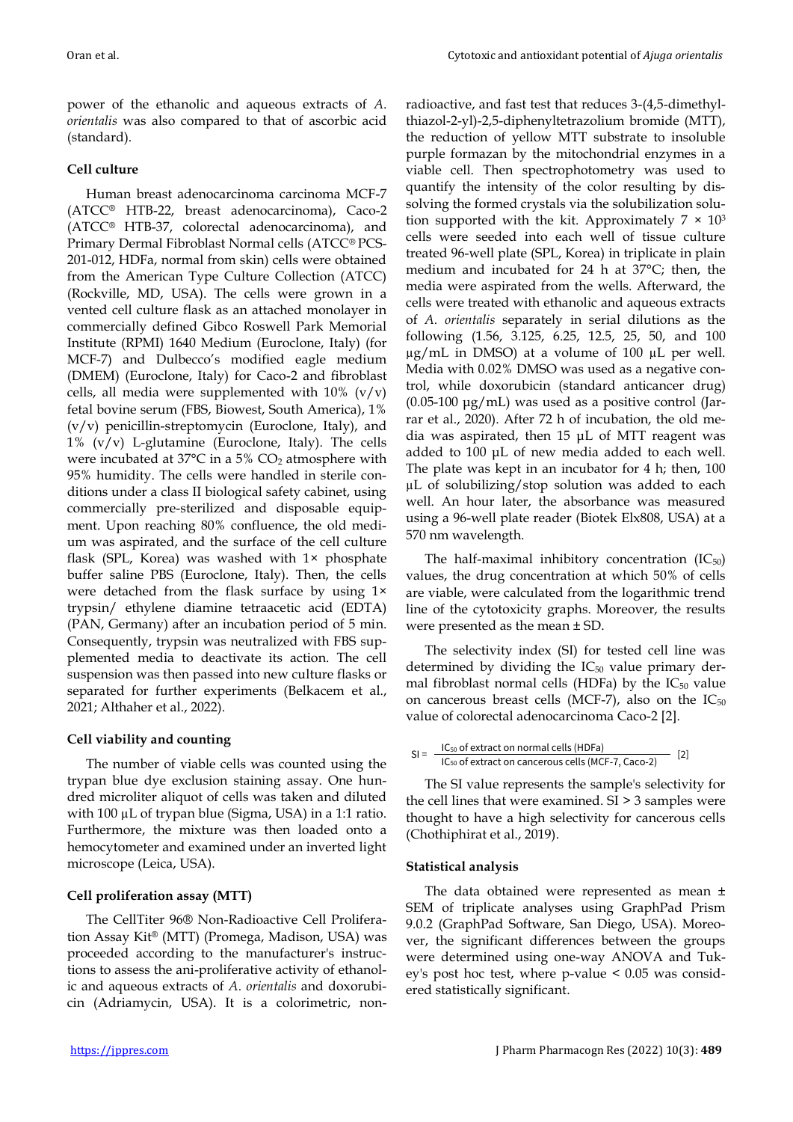power of the ethanolic and aqueous extracts of *A. orientalis* was also compared to that of ascorbic acid (standard).

# **Cell culture**

Human breast adenocarcinoma carcinoma MCF-7 (ATCC® HTB-22, breast adenocarcinoma), Caco-2 (ATCC® HTB-37, colorectal adenocarcinoma), and Primary Dermal Fibroblast Normal cells (ATCC® PCS-201-012, HDFa, normal from skin) cells were obtained from the American Type Culture Collection (ATCC) (Rockville, MD, USA). The cells were grown in a vented cell culture flask as an attached monolayer in commercially defined Gibco Roswell Park Memorial Institute (RPMI) 1640 Medium (Euroclone, Italy) (for MCF-7) and Dulbecco's modified eagle medium (DMEM) (Euroclone, Italy) for Caco-2 and fibroblast cells, all media were supplemented with  $10\%$  (v/v) fetal bovine serum (FBS, Biowest, South America), 1%  $(v/v)$  penicillin-streptomycin (Euroclone, Italy), and  $1\%$  (v/v) L-glutamine (Euroclone, Italy). The cells were incubated at  $37^{\circ}$ C in a 5% CO<sub>2</sub> atmosphere with 95% humidity. The cells were handled in sterile conditions under a class II biological safety cabinet, using commercially pre-sterilized and disposable equipment. Upon reaching 80% confluence, the old medium was aspirated, and the surface of the cell culture flask (SPL, Korea) was washed with 1× phosphate buffer saline PBS (Euroclone, Italy). Then, the cells were detached from the flask surface by using 1× trypsin/ ethylene diamine tetraacetic acid (EDTA) (PAN, Germany) after an incubation period of 5 min. Consequently, trypsin was neutralized with FBS supplemented media to deactivate its action. The cell suspension was then passed into new culture flasks or separated for further experiments (Belkacem et al., 2021; Althaher et al., 2022).

## **Cell viability and counting**

The number of viable cells was counted using the trypan blue dye exclusion staining assay. One hundred microliter aliquot of cells was taken and diluted with 100 µL of trypan blue (Sigma, USA) in a 1:1 ratio. Furthermore, the mixture was then loaded onto a hemocytometer and examined under an inverted light microscope (Leica, USA).

## **Cell proliferation assay (MTT)**

The CellTiter 96® Non-Radioactive Cell Proliferation Assay Kit® (MTT) (Promega, Madison, USA) was proceeded according to the manufacturer's instructions to assess the ani-proliferative activity of ethanolic and aqueous extracts of *A. orientalis* and doxorubicin (Adriamycin, USA). It is a colorimetric, nonradioactive, and fast test that reduces 3-(4,5-dimethylthiazol-2-yl)-2,5-diphenyltetrazolium bromide (MTT), the reduction of yellow MTT substrate to insoluble purple formazan by the mitochondrial enzymes in a viable cell. Then spectrophotometry was used to quantify the intensity of the color resulting by dissolving the formed crystals via the solubilization solution supported with the kit. Approximately  $7 \times 10^3$ cells were seeded into each well of tissue culture treated 96-well plate (SPL, Korea) in triplicate in plain medium and incubated for 24 h at 37°C; then, the media were aspirated from the wells. Afterward, the cells were treated with ethanolic and aqueous extracts of *A. orientalis* separately in serial dilutions as the following (1.56, 3.125, 6.25, 12.5, 25, 50, and 100  $\mu$ g/mL in DMSO) at a volume of 100  $\mu$ L per well. Media with 0.02% DMSO was used as a negative control, while doxorubicin (standard anticancer drug)  $(0.05-100 \mu g/mL)$  was used as a positive control (Jarrar et al., 2020). After 72 h of incubation, the old media was aspirated, then 15 μL of MTT reagent was added to 100 μL of new media added to each well. The plate was kept in an incubator for 4 h; then, 100 µL of solubilizing/stop solution was added to each well. An hour later, the absorbance was measured using a 96-well plate reader (Biotek Elx808, USA) at a 570 nm wavelength.

The half-maximal inhibitory concentration  $(IC_{50})$ values, the drug concentration at which 50% of cells are viable, were calculated from the logarithmic trend line of the cytotoxicity graphs. Moreover, the results were presented as the mean ± SD.

The selectivity index (SI) for tested cell line was determined by dividing the IC<sub>50</sub> value primary dermal fibroblast normal cells (HDFa) by the  $IC_{50}$  value on cancerous breast cells (MCF-7), also on the  $IC_{50}$ value of colorectal adenocarcinoma Caco-2 [2].

$$
SI = \frac{IC_{50} \text{ of extract on normal cells (HDFa)}}{IC_{50} \text{ of extract on cancerous cells (MCF-7, Caco-2)}} \quad [2]
$$

The SI value represents the sample's selectivity for the cell lines that were examined. SI > 3 samples were thought to have a high selectivity for cancerous cells (Chothiphirat et al., 2019).

## **Statistical analysis**

The data obtained were represented as mean ± SEM of triplicate analyses using GraphPad Prism 9.0.2 (GraphPad Software, San Diego, USA). Moreover, the significant differences between the groups were determined using one-way ANOVA and Tukey's post hoc test, where p-value < 0.05 was considered statistically significant.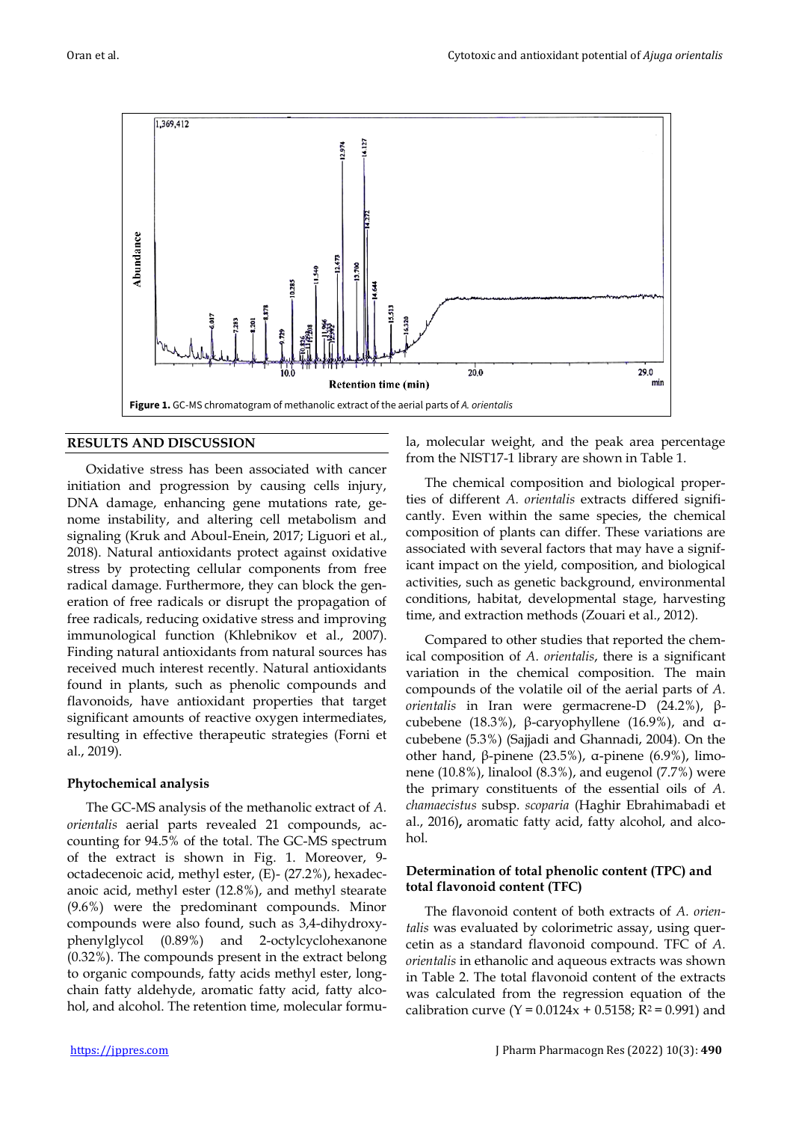

## **RESULTS AND DISCUSSION**

Oxidative stress has been associated with cancer initiation and progression by causing cells injury, DNA damage, enhancing gene mutations rate, genome instability, and altering cell metabolism and signaling (Kruk and Aboul-Enein, 2017; Liguori et al., 2018). Natural antioxidants protect against oxidative stress by protecting cellular components from free radical damage. Furthermore, they can block the generation of free radicals or disrupt the propagation of free radicals, reducing oxidative stress and improving immunological function (Khlebnikov et al., 2007). Finding natural antioxidants from natural sources has received much interest recently. Natural antioxidants found in plants, such as phenolic compounds and flavonoids, have antioxidant properties that target significant amounts of reactive oxygen intermediates, resulting in effective therapeutic strategies (Forni et al., 2019).

## **Phytochemical analysis**

The GC-MS analysis of the methanolic extract of *A. orientalis* aerial parts revealed 21 compounds, accounting for 94.5% of the total. The GC-MS spectrum of the extract is shown in Fig. 1. Moreover, 9 octadecenoic acid, methyl ester, (E)- (27.2%), hexadecanoic acid, methyl ester (12.8%), and methyl stearate (9.6%) were the predominant compounds. Minor compounds were also found, such as 3,4-dihydroxyphenylglycol (0.89%) and 2-octylcyclohexanone (0.32%). The compounds present in the extract belong to organic compounds, fatty acids methyl ester, longchain fatty aldehyde, aromatic fatty acid, fatty alcohol, and alcohol. The retention time, molecular formula, molecular weight, and the peak area percentage from the NIST17-1 library are shown in Table 1.

The chemical composition and biological properties of different *A. orientalis* extracts differed significantly. Even within the same species, the chemical composition of plants can differ. These variations are associated with several factors that may have a significant impact on the yield, composition, and biological activities, such as genetic background, environmental conditions, habitat, developmental stage, harvesting time, and extraction methods (Zouari et al., 2012).

Compared to other studies that reported the chemical composition of *A. orientalis*, there is a significant variation in the chemical composition. The main compounds of the volatile oil of the aerial parts of *A. orientalis* in Iran were germacrene-D (24.2%), βcubebene (18.3%), β-caryophyllene (16.9%), and  $α$ cubebene (5.3%) (Sajjadi and Ghannadi, 2004). On the other hand, β-pinene (23.5%), α-pinene (6.9%), limonene (10.8%), linalool (8.3%), and eugenol (7.7%) were the primary constituents of the essential oils of *A. chamaecistus* subsp. *scoparia* (Haghir Ebrahimabadi et al., 2016)**,** aromatic fatty acid, fatty alcohol, and alcohol.

## **Determination of total phenolic content (TPC) and total flavonoid content (TFC)**

The flavonoid content of both extracts of *A. orientalis* was evaluated by colorimetric assay, using quercetin as a standard flavonoid compound. TFC of *A. orientalis* in ethanolic and aqueous extracts was shown in Table 2. The total flavonoid content of the extracts was calculated from the regression equation of the calibration curve (Y =  $0.0124x + 0.5158$ ; R<sup>2</sup> = 0.991) and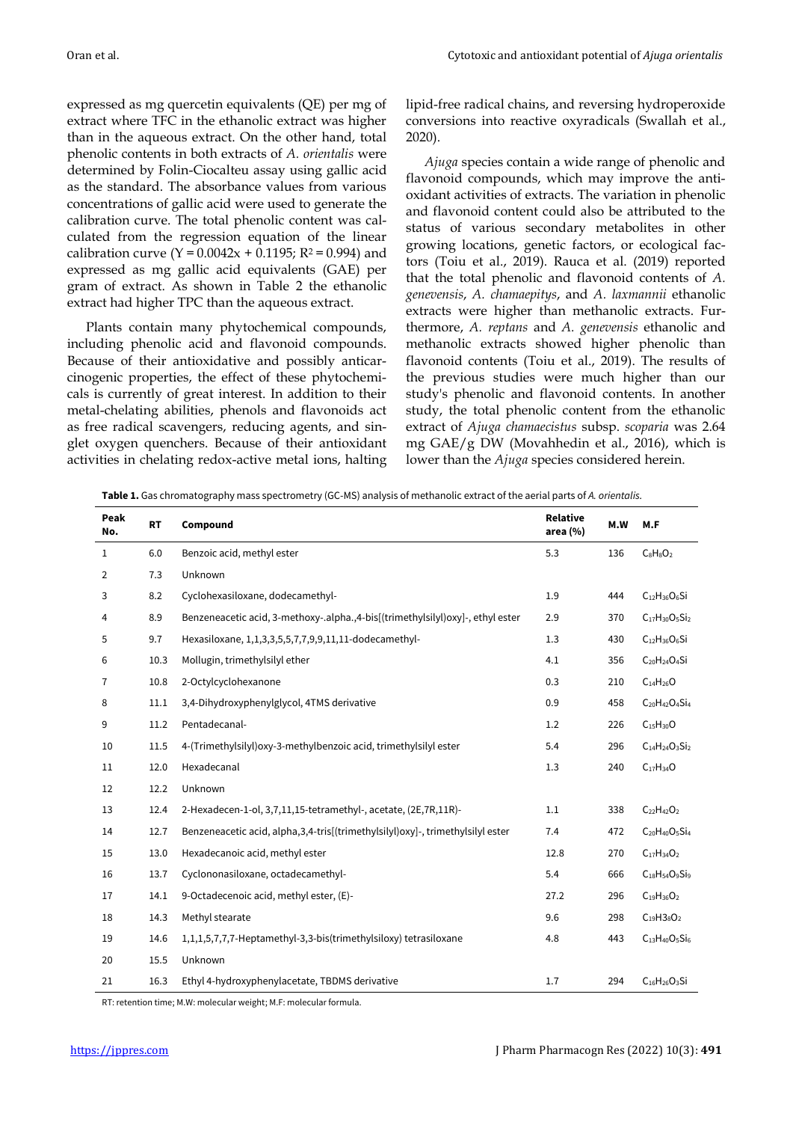expressed as mg quercetin equivalents (QE) per mg of extract where TFC in the ethanolic extract was higher than in the aqueous extract. On the other hand, total phenolic contents in both extracts of *A. orientalis* were determined by Folin-Ciocalteu assay using gallic acid as the standard. The absorbance values from various concentrations of gallic acid were used to generate the calibration curve. The total phenolic content was calculated from the regression equation of the linear calibration curve  $(Y = 0.0042x + 0.1195; R^2 = 0.994)$  and expressed as mg gallic acid equivalents (GAE) per gram of extract. As shown in Table 2 the ethanolic extract had higher TPC than the aqueous extract.

Plants contain many phytochemical compounds, including phenolic acid and flavonoid compounds. Because of their antioxidative and possibly anticarcinogenic properties, the effect of these phytochemicals is currently of great interest. In addition to their metal-chelating abilities, phenols and flavonoids act as free radical scavengers, reducing agents, and singlet oxygen quenchers. Because of their antioxidant activities in chelating redox-active metal ions, halting lipid-free radical chains, and reversing hydroperoxide conversions into reactive oxyradicals (Swallah et al., 2020).

*Ajuga* species contain a wide range of phenolic and flavonoid compounds, which may improve the antioxidant activities of extracts. The variation in phenolic and flavonoid content could also be attributed to the status of various secondary metabolites in other growing locations, genetic factors, or ecological factors (Toiu et al., 2019). Rauca et al. (2019) reported that the total phenolic and flavonoid contents of *A. genevensis*, *A. chamaepitys*, and *A. laxmannii* ethanolic extracts were higher than methanolic extracts. Furthermore, *A. reptans* and *A. genevensis* ethanolic and methanolic extracts showed higher phenolic than flavonoid contents (Toiu et al., 2019). The results of the previous studies were much higher than our study's phenolic and flavonoid contents. In another study, the total phenolic content from the ethanolic extract of *Ajuga chamaecistus* subsp. *scoparia* was 2.64 mg GAE/g DW (Movahhedin et al., 2016), which is lower than the *Ajuga* species considered herein.

**Table 1.** Gas chromatography mass spectrometry (GC-MS) analysis of methanolic extract of the aerial parts of *A. orientalis.*

| Peak<br>No. | <b>RT</b> | Compound                                                                           | Relative<br>area $(%)$ | M.W | M.F                       |
|-------------|-----------|------------------------------------------------------------------------------------|------------------------|-----|---------------------------|
| 1           | 6.0       | Benzoic acid, methyl ester                                                         | 5.3                    | 136 | $C_8H_8O_2$               |
| 2           | 7.3       | Unknown                                                                            |                        |     |                           |
| 3           | 8.2       | Cyclohexasiloxane, dodecamethyl-                                                   | 1.9                    | 444 | $C_{12}H_{36}O_6Si$       |
| 4           | 8.9       | Benzeneacetic acid, 3-methoxy-.alpha., 4-bis[(trimethylsilyl)oxy]-, ethyl ester    | 2.9                    | 370 | $C_{17}H_{30}O_5Si_2$     |
| 5           | 9.7       | Hexasiloxane, 1,1,3,3,5,5,7,7,9,9,11,11-dodecamethyl-                              | 1.3                    | 430 | $C_{12}H_{36}O_6Si$       |
| 6           | 10.3      | Mollugin, trimethylsilyl ether                                                     | 4.1                    | 356 | $C_{20}H_{24}O_4Si$       |
| 7           | 10.8      | 2-Octylcyclohexanone                                                               | 0.3                    | 210 | $C_{14}H_{26}O$           |
| 8           | 11.1      | 3,4-Dihydroxyphenylglycol, 4TMS derivative                                         | 0.9                    | 458 | $C_{20}H_{42}O_4Si_4$     |
| 9           | 11.2      | Pentadecanal-                                                                      | 1.2                    | 226 | $C_{15}H_{30}O$           |
| 10          | 11.5      | 4-(Trimethylsilyl) oxy-3-methylbenzoic acid, trimethylsilyl ester                  | 5.4                    | 296 | $C_{14}H_{24}O_3Si_2$     |
| 11          | 12.0      | Hexadecanal                                                                        | 1.3                    | 240 | $C_{17}H_{34}O$           |
| 12          | 12.2      | Unknown                                                                            |                        |     |                           |
| 13          | 12.4      | 2-Hexadecen-1-ol, 3,7,11,15-tetramethyl-, acetate, (2E,7R,11R)-                    | 1.1                    | 338 | $C_{22}H_{42}O_2$         |
| 14          | 12.7      | Benzeneacetic acid, alpha, 3, 4-tris [(trimethylsilyl) oxy]-, trimethylsilyl ester | 7.4                    | 472 | $C_{20}H_{40}O_5Si_4$     |
| 15          | 13.0      | Hexadecanoic acid, methyl ester                                                    | 12.8                   | 270 | $C_{17}H_{34}O_2$         |
| 16          | 13.7      | Cyclononasiloxane, octadecamethyl-                                                 | 5.4                    | 666 | $C_{18}H_{54}O_{9}Si_{9}$ |
| 17          | 14.1      | 9-Octadecenoic acid, methyl ester, (E)-                                            | 27.2                   | 296 | $C_{19}H_{36}O_2$         |
| 18          | 14.3      | Methyl stearate                                                                    | 9.6                    | 298 | $C_{19}H3_8O_2$           |
| 19          | 14.6      | 1,1,1,5,7,7,7-Heptamethyl-3,3-bis(trimethylsiloxy) tetrasiloxane                   | 4.8                    | 443 | $C_{13}H_{40}O_{5}Si_{6}$ |
| 20          | 15.5      | Unknown                                                                            |                        |     |                           |
| 21          | 16.3      | Ethyl 4-hydroxyphenylacetate, TBDMS derivative                                     | 1.7                    | 294 | $C_{16}H_{26}O_3Si$       |

RT: retention time; M.W: molecular weight; M.F: molecular formula.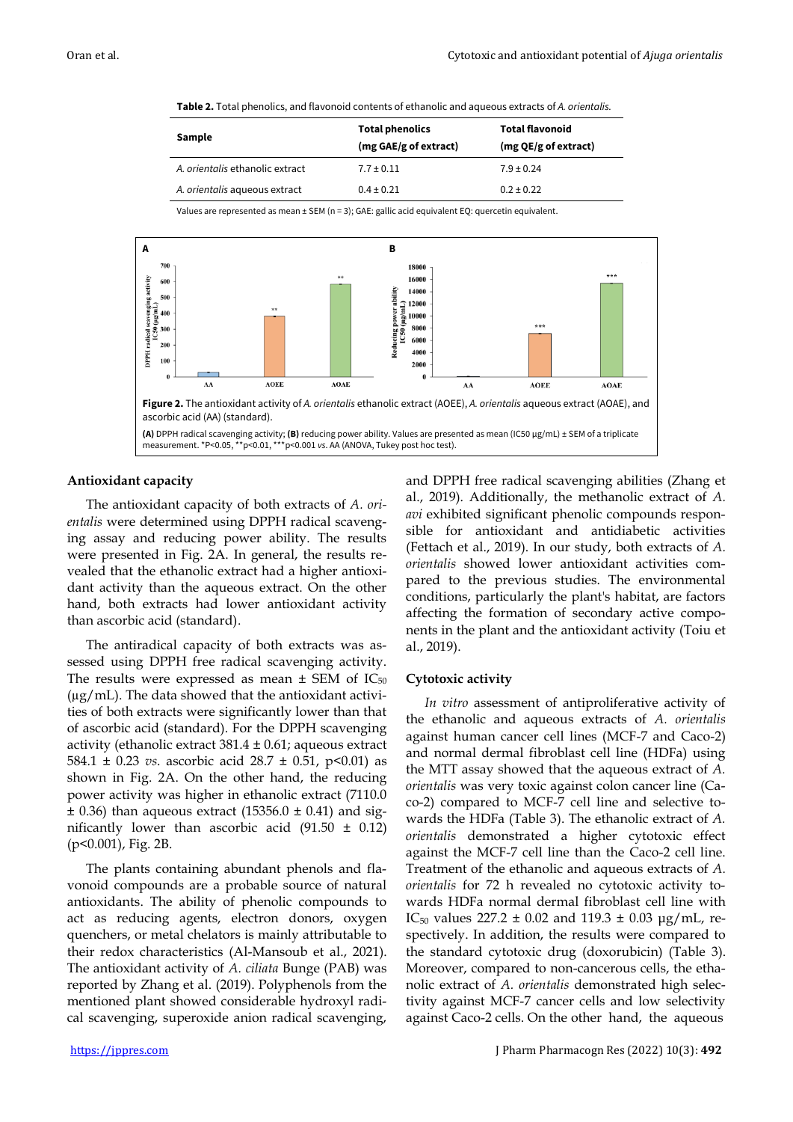**Table 2.** Total phenolics, and flavonoid contents of ethanolic and aqueous extracts of *A. orientalis.*

| Sample                          | <b>Total phenolics</b><br>(mg GAE/g of extract) | <b>Total flavonoid</b><br>(mg QE/g of extract) |  |  |
|---------------------------------|-------------------------------------------------|------------------------------------------------|--|--|
| A. orientalis ethanolic extract | $7.7 \pm 0.11$                                  | $7.9 \pm 0.24$                                 |  |  |
| A. orientalis aqueous extract   | $0.4 \pm 0.21$                                  | $0.2 \pm 0.22$                                 |  |  |

Values are represented as mean ± SEM (n = 3); GAE: gallic acid equivalent EQ: quercetin equivalent.



#### **Antioxidant capacity**

The antioxidant capacity of both extracts of *A. orientalis* were determined using DPPH radical scavenging assay and reducing power ability. The results were presented in Fig. 2A. In general, the results revealed that the ethanolic extract had a higher antioxidant activity than the aqueous extract. On the other hand, both extracts had lower antioxidant activity than ascorbic acid (standard).

The antiradical capacity of both extracts was assessed using DPPH free radical scavenging activity. The results were expressed as mean  $\pm$  SEM of IC<sub>50</sub>  $(\mu g/mL)$ . The data showed that the antioxidant activities of both extracts were significantly lower than that of ascorbic acid (standard). For the DPPH scavenging activity (ethanolic extract  $381.4 \pm 0.61$ ; aqueous extract 584.1  $\pm$  0.23 *vs.* ascorbic acid 28.7  $\pm$  0.51, p<0.01) as shown in Fig. 2A. On the other hand, the reducing power activity was higher in ethanolic extract (7110.0  $\pm$  0.36) than aqueous extract (15356.0  $\pm$  0.41) and significantly lower than ascorbic acid  $(91.50 \pm 0.12)$ (p<0.001), Fig. 2B.

The plants containing abundant phenols and flavonoid compounds are a probable source of natural antioxidants. The ability of phenolic compounds to act as reducing agents, electron donors, oxygen quenchers, or metal chelators is mainly attributable to their redox characteristics (Al-Mansoub et al., 2021). The antioxidant activity of *A. ciliata* Bunge (PAB) was reported by Zhang et al. (2019). Polyphenols from the mentioned plant showed considerable hydroxyl radical scavenging, superoxide anion radical scavenging,

and DPPH free radical scavenging abilities (Zhang et al., 2019). Additionally, the methanolic extract of *A. avi* exhibited significant phenolic compounds responsible for antioxidant and antidiabetic activities (Fettach et al., 2019). In our study, both extracts of *A. orientalis* showed lower antioxidant activities compared to the previous studies. The environmental conditions, particularly the plant's habitat, are factors affecting the formation of secondary active components in the plant and the antioxidant activity (Toiu et al., 2019).

#### **Cytotoxic activity**

*In vitro* assessment of antiproliferative activity of the ethanolic and aqueous extracts of *A. orientalis* against human cancer cell lines (MCF-7 and Caco-2) and normal dermal fibroblast cell line (HDFa) using the MTT assay showed that the aqueous extract of *A. orientalis* was very toxic against colon cancer line (Caco-2) compared to MCF-7 cell line and selective towards the HDFa (Table 3). The ethanolic extract of *A. orientalis* demonstrated a higher cytotoxic effect against the MCF-7 cell line than the Caco-2 cell line. Treatment of the ethanolic and aqueous extracts of *A. orientalis* for 72 h revealed no cytotoxic activity towards HDFa normal dermal fibroblast cell line with IC<sub>50</sub> values 227.2  $\pm$  0.02 and 119.3  $\pm$  0.03 µg/mL, respectively. In addition, the results were compared to the standard cytotoxic drug (doxorubicin) (Table 3). Moreover, compared to non-cancerous cells, the ethanolic extract of *A. orientalis* demonstrated high selectivity against MCF-7 cancer cells and low selectivity against Caco-2 cells. On the other hand, the aqueous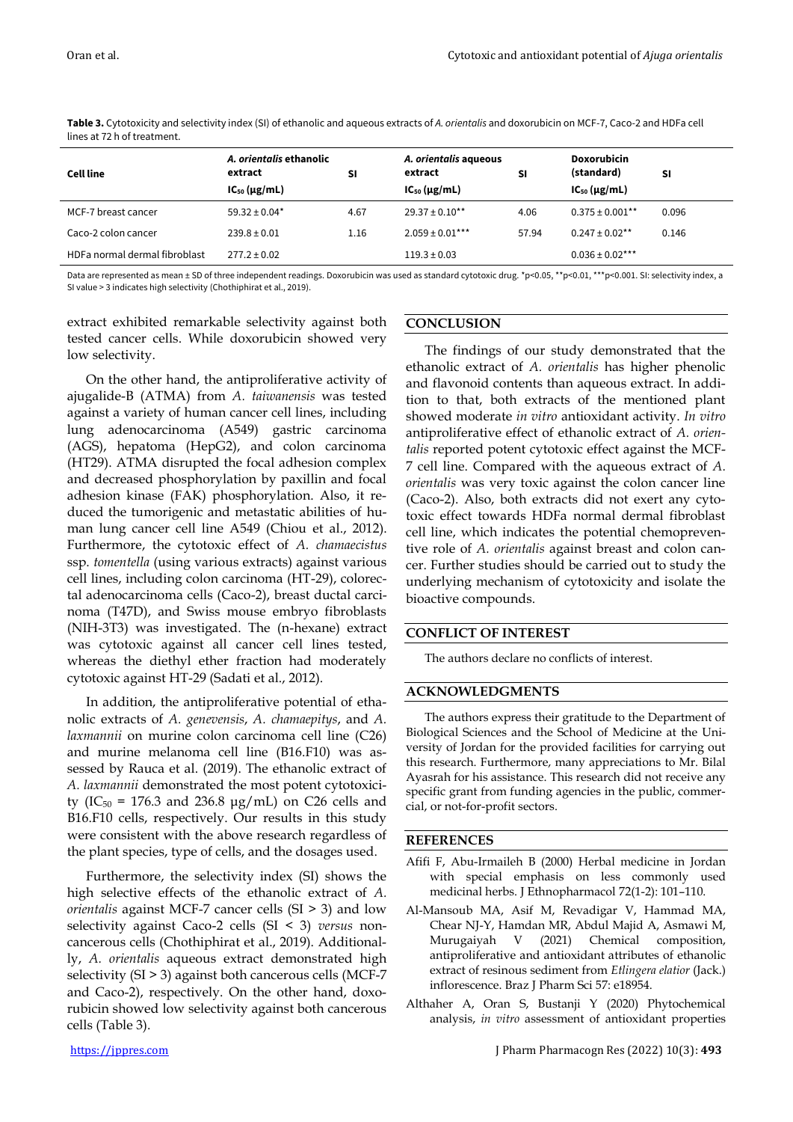| <b>Cell line</b>              | A. orientalis ethanolic<br>extract<br>$IC_{50} (\mu g/mL)$ | <b>SI</b> | A. orientalis aqueous<br>extract<br>$IC_{50} (\mu g/mL)$ | <b>SI</b> | <b>Doxorubicin</b><br>(standard)<br>$IC_{50} (\mu g/mL)$ | SI    |
|-------------------------------|------------------------------------------------------------|-----------|----------------------------------------------------------|-----------|----------------------------------------------------------|-------|
| MCF-7 breast cancer           | $59.32 \pm 0.04*$                                          | 4.67      | $29.37 \pm 0.10$ **                                      | 4.06      | $0.375 \pm 0.001$ **                                     | 0.096 |
| Caco-2 colon cancer           | $239.8 \pm 0.01$                                           | 1.16      | $2.059 \pm 0.01***$                                      | 57.94     | $0.247 \pm 0.02$ **                                      | 0.146 |
| HDFa normal dermal fibroblast | $277.2 \pm 0.02$                                           |           | $119.3 \pm 0.03$                                         |           | $0.036 \pm 0.02$ ***                                     |       |

**Table 3.** Cytotoxicity and selectivity index (SI) of ethanolic and aqueous extracts of *A. orientalis* and doxorubicin on MCF-7, Caco-2 and HDFa cell lines at 72 h of treatment.

Data are represented as mean ± SD of three independent readings. Doxorubicin was used as standard cytotoxic drug. \*p<0.05, \*\*p<0.01, \*\*\*p<0.001. SI: selectivity index, a SI value > 3 indicates high selectivity (Chothiphirat et al., 2019).

extract exhibited remarkable selectivity against both tested cancer cells. While doxorubicin showed very low selectivity.

On the other hand, the antiproliferative activity of ajugalide-B (ATMA) from *A. taiwanensis* was tested against a variety of human cancer cell lines, including lung adenocarcinoma (A549) gastric carcinoma (AGS), hepatoma (HepG2), and colon carcinoma (HT29). ATMA disrupted the focal adhesion complex and decreased phosphorylation by paxillin and focal adhesion kinase (FAK) phosphorylation. Also, it reduced the tumorigenic and metastatic abilities of human lung cancer cell line A549 (Chiou et al., 2012). Furthermore, the cytotoxic effect of *A. chamaecistus* ssp. *tomentella* (using various extracts) against various cell lines, including colon carcinoma (HT-29), colorectal adenocarcinoma cells (Caco-2), breast ductal carcinoma (T47D), and Swiss mouse embryo fibroblasts (NIH-3T3) was investigated. The (n-hexane) extract was cytotoxic against all cancer cell lines tested, whereas the diethyl ether fraction had moderately cytotoxic against HT-29 (Sadati et al., 2012).

In addition, the antiproliferative potential of ethanolic extracts of *A. genevensis*, *A. chamaepitys*, and *A. laxmannii* on murine colon carcinoma cell line (C26) and murine melanoma cell line (B16.F10) was assessed by Rauca et al. (2019). The ethanolic extract of *A. laxmannii* demonstrated the most potent cytotoxicity (IC<sub>50</sub> = 176.3 and 236.8 μg/mL) on C26 cells and B16.F10 cells, respectively. Our results in this study were consistent with the above research regardless of the plant species, type of cells, and the dosages used.

Furthermore, the selectivity index (SI) shows the high selective effects of the ethanolic extract of *A. orientalis* against MCF-7 cancer cells (SI > 3) and low selectivity against Caco-2 cells (SI < 3) *versus* noncancerous cells (Chothiphirat et al., 2019). Additionally, *A. orientalis* aqueous extract demonstrated high selectivity (SI > 3) against both cancerous cells (MCF-7 and Caco-2), respectively. On the other hand, doxorubicin showed low selectivity against both cancerous cells (Table 3).

# **CONCLUSION**

The findings of our study demonstrated that the ethanolic extract of *A. orientalis* has higher phenolic and flavonoid contents than aqueous extract. In addition to that, both extracts of the mentioned plant showed moderate *in vitro* antioxidant activity. *In vitro* antiproliferative effect of ethanolic extract of *A. orientalis* reported potent cytotoxic effect against the MCF-7 cell line. Compared with the aqueous extract of *A. orientalis* was very toxic against the colon cancer line (Caco-2). Also, both extracts did not exert any cytotoxic effect towards HDFa normal dermal fibroblast cell line, which indicates the potential chemopreventive role of *A. orientalis* against breast and colon cancer. Further studies should be carried out to study the underlying mechanism of cytotoxicity and isolate the bioactive compounds.

# **CONFLICT OF INTEREST**

The authors declare no conflicts of interest.

# **ACKNOWLEDGMENTS**

The authors express their gratitude to the Department of Biological Sciences and the School of Medicine at the University of Jordan for the provided facilities for carrying out this research. Furthermore, many appreciations to Mr. Bilal Ayasrah for his assistance. This research did not receive any specific grant from funding agencies in the public, commercial, or not-for-profit sectors.

# **REFERENCES**

- Afifi F, Abu-Irmaileh B (2000) Herbal medicine in Jordan with special emphasis on less commonly used medicinal herbs. J Ethnopharmacol 72(1-2): 101–110.
- Al-Mansoub MA, Asif M, Revadigar V, Hammad MA, Chear NJ-Y, Hamdan MR, Abdul Majid A, Asmawi M, Murugaiyah V (2021) Chemical composition, antiproliferative and antioxidant attributes of ethanolic extract of resinous sediment from *Etlingera elatior* (Jack.) inflorescence. Braz J Pharm Sci 57: e18954.
- Althaher A, Oran S, Bustanji Y (2020) Phytochemical analysis, *in vitro* assessment of antioxidant properties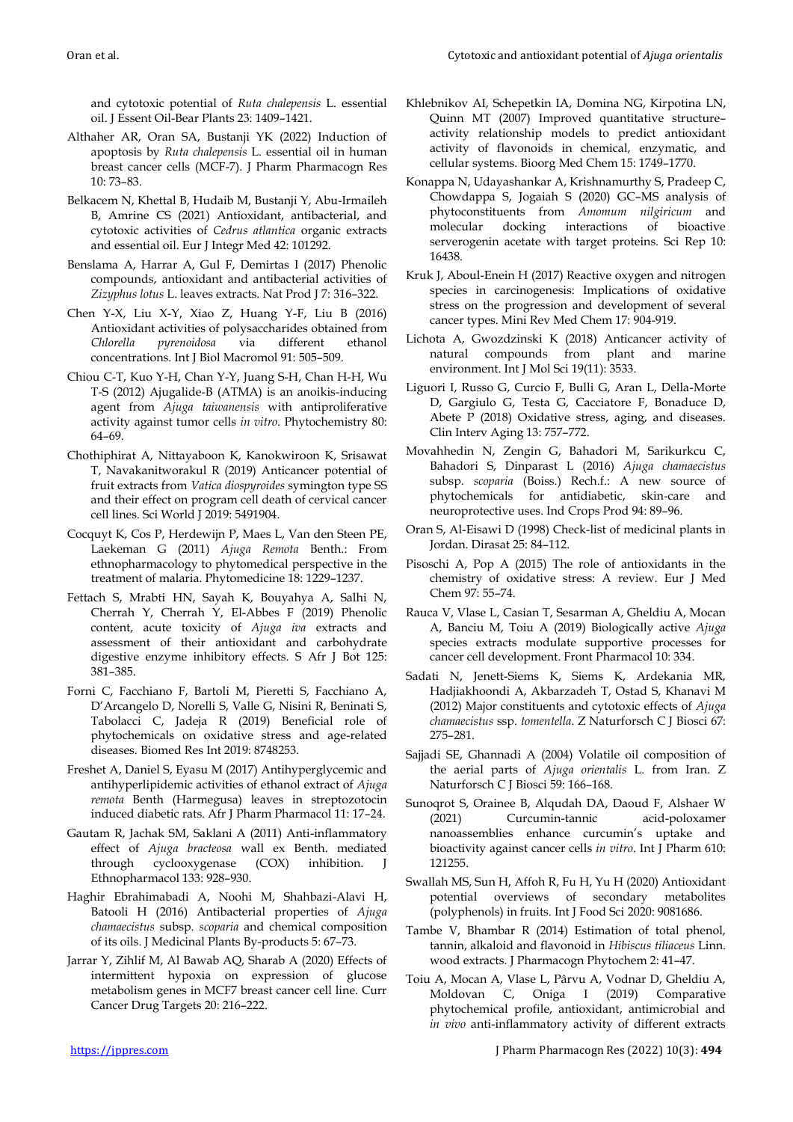and cytotoxic potential of *Ruta chalepensis* L. essential oil. J Essent Oil-Bear Plants 23: 1409–1421.

- Althaher AR, Oran SA, Bustanji YK (2022) Induction of apoptosis by *Ruta chalepensis* L. essential oil in human breast cancer cells (MCF-7). J Pharm Pharmacogn Res 10: 73–83.
- Belkacem N, Khettal B, Hudaib M, Bustanji Y, Abu-Irmaileh B, Amrine CS (2021) Antioxidant, antibacterial, and cytotoxic activities of *Cedrus atlantica* organic extracts and essential oil. Eur J Integr Med 42: 101292.
- Benslama A, Harrar A, Gul F, Demirtas I (2017) Phenolic compounds, antioxidant and antibacterial activities of *Zizyphus lotus* L. leaves extracts. Nat Prod J 7: 316–322.
- Chen Y-X, Liu X-Y, Xiao Z, Huang Y-F, Liu B (2016) Antioxidant activities of polysaccharides obtained from *Chlorella pyrenoidosa* via different ethanol concentrations. Int J Biol Macromol 91: 505–509.
- Chiou C-T, Kuo Y-H, Chan Y-Y, Juang S-H, Chan H-H, Wu T-S (2012) Ajugalide-B (ATMA) is an anoikis-inducing agent from *Ajuga taiwanensis* with antiproliferative activity against tumor cells *in vitro*. Phytochemistry 80: 64–69.
- Chothiphirat A, Nittayaboon K, Kanokwiroon K, Srisawat T, Navakanitworakul R (2019) Anticancer potential of fruit extracts from *Vatica diospyroides* symington type SS and their effect on program cell death of cervical cancer cell lines. Sci World J 2019: 5491904.
- Cocquyt K, Cos P, Herdewijn P, Maes L, Van den Steen PE, Laekeman G (2011) *Ajuga Remota* Benth.: From ethnopharmacology to phytomedical perspective in the treatment of malaria. Phytomedicine 18: 1229–1237.
- Fettach S, Mrabti HN, Sayah K, Bouyahya A, Salhi N, Cherrah Y, Cherrah Y, El-Abbes F (2019) Phenolic content, acute toxicity of *Ajuga iva* extracts and assessment of their antioxidant and carbohydrate digestive enzyme inhibitory effects. S Afr J Bot 125: 381–385.
- Forni C, Facchiano F, Bartoli M, Pieretti S, Facchiano A, D'Arcangelo D, Norelli S, Valle G, Nisini R, Beninati S, Tabolacci C, Jadeja R (2019) Beneficial role of phytochemicals on oxidative stress and age-related diseases. Biomed Res Int 2019: 8748253.
- Freshet A, Daniel S, Eyasu M (2017) Antihyperglycemic and antihyperlipidemic activities of ethanol extract of *Ajuga remota* Benth (Harmegusa) leaves in streptozotocin induced diabetic rats. Afr J Pharm Pharmacol 11: 17–24.
- Gautam R, Jachak SM, Saklani A (2011) Anti-inflammatory effect of *Ajuga bracteosa* wall ex Benth. mediated through cyclooxygenase (COX) inhibition. J Ethnopharmacol 133: 928–930.
- Haghir Ebrahimabadi A, Noohi M, Shahbazi-Alavi H, Batooli H (2016) Antibacterial properties of *Ajuga chamaecistus* subsp. *scoparia* and chemical composition of its oils. J Medicinal Plants By-products 5: 67–73.
- Jarrar Y, Zihlif M, Al Bawab AQ, Sharab A (2020) Effects of intermittent hypoxia on expression of glucose metabolism genes in MCF7 breast cancer cell line. Curr Cancer Drug Targets 20: 216–222.
- Khlebnikov AI, Schepetkin IA, Domina NG, Kirpotina LN, Quinn MT (2007) Improved quantitative structure– activity relationship models to predict antioxidant activity of flavonoids in chemical, enzymatic, and cellular systems. Bioorg Med Chem 15: 1749–1770.
- Konappa N, Udayashankar A, Krishnamurthy S, Pradeep C, Chowdappa S, Jogaiah S (2020) GC–MS analysis of phytoconstituents from *Amomum nilgiricum* and molecular docking interactions of bioactive serverogenin acetate with target proteins. Sci Rep 10: 16438.
- Kruk J, Aboul-Enein H (2017) Reactive oxygen and nitrogen species in carcinogenesis: Implications of oxidative stress on the progression and development of several cancer types. Mini Rev Med Chem 17: 904-919.
- Lichota A, Gwozdzinski K (2018) Anticancer activity of natural compounds from plant and marine environment. Int J Mol Sci 19(11): 3533.
- Liguori I, Russo G, Curcio F, Bulli G, Aran L, Della-Morte D, Gargiulo G, Testa G, Cacciatore F, Bonaduce D, Abete P (2018) Oxidative stress, aging, and diseases. Clin Interv Aging 13: 757–772.
- Movahhedin N, Zengin G, Bahadori M, Sarikurkcu C, Bahadori S, Dinparast L (2016) *Ajuga chamaecistus* subsp. *scoparia* (Boiss.) Rech.f.: A new source of phytochemicals for antidiabetic, skin-care and neuroprotective uses. Ind Crops Prod 94: 89–96.
- Oran S, Al-Eisawi D (1998) Check-list of medicinal plants in Jordan. Dirasat 25: 84–112.
- Pisoschi A, Pop A (2015) The role of antioxidants in the chemistry of oxidative stress: A review. Eur J Med Chem 97: 55–74.
- Rauca V, Vlase L, Casian T, Sesarman A, Gheldiu A, Mocan A, Banciu M, Toiu A (2019) Biologically active *Ajuga* species extracts modulate supportive processes for cancer cell development. Front Pharmacol 10: 334.
- Sadati N, Jenett-Siems K, Siems K, Ardekania MR, Hadjiakhoondi A, Akbarzadeh T, Ostad S, Khanavi M (2012) Major constituents and cytotoxic effects of *Ajuga chamaecistus* ssp. *tomentella*. Z Naturforsch C J Biosci 67: 275–281.
- Sajjadi SE, Ghannadi A (2004) Volatile oil composition of the aerial parts of *Ajuga orientalis* L. from Iran. Z Naturforsch C J Biosci 59: 166–168.
- Sunoqrot S, Orainee B, Alqudah DA, Daoud F, Alshaer W (2021) Curcumin-tannic acid-poloxamer nanoassemblies enhance curcumin's uptake and bioactivity against cancer cells *in vitro*. Int J Pharm 610: 121255.
- Swallah MS, Sun H, Affoh R, Fu H, Yu H (2020) Antioxidant potential overviews of secondary metabolites (polyphenols) in fruits. Int J Food Sci 2020: 9081686.
- Tambe V, Bhambar R (2014) Estimation of total phenol, tannin, alkaloid and flavonoid in *Hibiscus tiliaceus* Linn. wood extracts. J Pharmacogn Phytochem 2: 41–47.
- Toiu A, Mocan A, Vlase L, Pârvu A, Vodnar D, Gheldiu A, Moldovan C, Oniga I (2019) Comparative phytochemical profile, antioxidant, antimicrobial and *in vivo* anti-inflammatory activity of different extracts